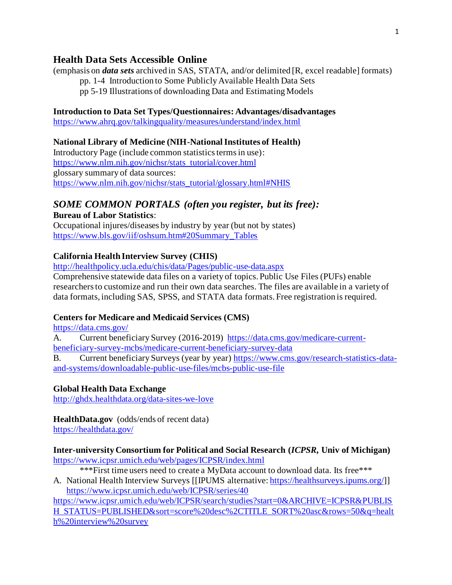# **Health Data Sets Accessible Online**

(emphasis on *data sets* archived in SAS, STATA, and/or delimited [R, excel readable] formats) pp. 1-4 Introduction to Some Publicly Available Health Data Sets

pp 5-19 Illustrations of downloading Data and Estimating Models

#### **Introduction to Data Set Types/Questionnaires: Advantages/disadvantages**

[https://www.ahrq.gov/talkingquality/measures/understand/index.html](about:blank)

## **National Library of Medicine (NIH-National Institutes of Health)**

Introductory Page (include common statistics terms in use): [https://www.nlm.nih.gov/nichsr/stats\\_tutorial/cover.html](about:blank) glossary summary of data sources: [https://www.nlm.nih.gov/nichsr/stats\\_tutorial/glossary.html#NHIS](about:blank#NHIS)

# *SOME COMMON PORTALS (often you register, but its free):*

**Bureau of Labor Statistics**: Occupational injures/diseases by industry by year (but not by states) [https://www.bls.gov/iif/oshsum.htm#20Summary\\_Tables](about:blank#20Summary_Tables)

## **California Health Interview Survey (CHIS)**

[http://healthpolicy.ucla.edu/chis/data/Pages/public-use-data.aspx](about:blank)

Comprehensive statewide data files on a variety of topics. Public Use Files (PUFs) enable researchers to customize and run their own data searches. The files are available in a variety of data formats, including SAS, SPSS, and STATA data formats. Free registration is required.

## **Centers for Medicare and Medicaid Services (CMS)**

[https://data.cms.gov/](about:blank)

A. Current beneficiary Survey (2016-2019) [https://data.cms.gov/medicare-current](about:blank)[beneficiary-survey-mcbs/medicare-current-beneficiary-survey-data](about:blank)

B. Current beneficiary Surveys (year by year) [https://www.cms.gov/research-statistics-data](about:blank)[and-systems/downloadable-public-use-files/mcbs-public-use-file](about:blank)

#### **Global Health Data Exchange**

[http://ghdx.healthdata.org/data-sites-we-love](about:blank)

# **HealthData.gov** (odds/ends of recent data)

[https://healthdata.gov/](about:blank)

**Inter-university Consortium for Political and Social Research (***ICPSR***, Univ of Michigan)** [https://www.icpsr.umich.edu/web/pages/ICPSR/index.html](about:blank)

\*\*\*First time users need to create a MyData account to download data. Its free\*\*\*

A. National Health Interview Surveys [[IPUMS alternative: [https://healthsurveys.ipums.org/](about:blank)]] [https://www.icpsr.umich.edu/web/ICPSR/series/40](about:blank) 

[https://www.icpsr.umich.edu/web/ICPSR/search/studies?start=0&ARCHIVE=ICPSR&PUBLIS](about:blank) [H\\_STATUS=PUBLISHED&sort=score%20desc%2CTITLE\\_SORT%20asc&rows=50&q=healt](about:blank) [h%20interview%20survey](about:blank)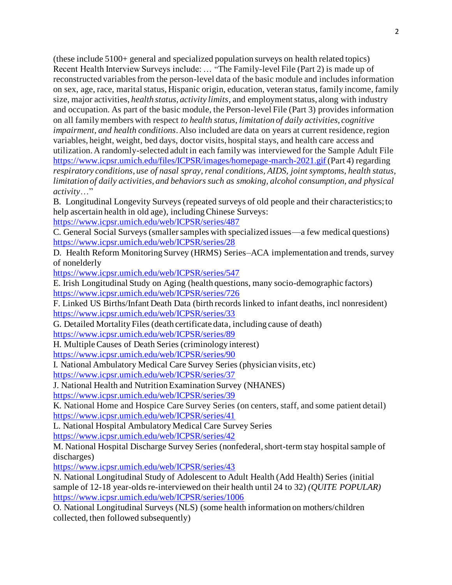(these include 5100+ general and specialized population surveys on health related topics) Recent Health Interview Surveys include: … "The Family-level File (Part 2) is made up of reconstructed variables from the person-level data of the basic module and includes information on sex, age, race, marital status, Hispanic origin, education, veteran status, family income, family size, major activities, *health status, activity limits*, and employment status, along with industry and occupation. As part of the basic module, the Person-level File (Part 3) provides information on all family members with respect *to health status, limitation of daily activities, cognitive impairment, and health conditions*. Also included are data on years at current residence, region variables, height, weight, bed days, doctor visits, hospital stays, and health care access and utilization. A randomly-selected adult in each family was interviewed for the Sample Adult File [https://www.icpsr.umich.edu/files/ICPSR/images/homepage-march-2021.gif](about:blank) (Part 4) regarding *respiratory conditions, use of nasal spray, renal conditions, AIDS, joint symptoms, health status, limitation of daily activities, and behaviors such as smoking, alcohol consumption, and physical activity*…"

B. Longitudinal Longevity Surveys (repeated surveys of old people and their characteristics; to help ascertain health in old age), including Chinese Surveys:

[https://www.icpsr.umich.edu/web/ICPSR/series/487](about:blank)

C. General Social Surveys (smaller samples with specialized issues—a few medical questions) [https://www.icpsr.umich.edu/web/ICPSR/series/28](about:blank)

D. Health Reform Monitoring Survey (HRMS) Series–ACA implementation and trends, survey of nonelderly

[https://www.icpsr.umich.edu/web/ICPSR/series/547](about:blank)

E. Irish Longitudinal Study on Aging (health questions, many socio-demographic factors) [https://www.icpsr.umich.edu/web/ICPSR/series/726](about:blank)

F. Linked US Births/Infant Death Data (birth records linked to infant deaths, incl nonresident) [https://www.icpsr.umich.edu/web/ICPSR/series/33](about:blank)

G. Detailed Mortality Files (death certificate data, including cause of death) [https://www.icpsr.umich.edu/web/ICPSR/series/89](about:blank)

H. Multiple Causes of Death Series (criminology interest)

[https://www.icpsr.umich.edu/web/ICPSR/series/90](about:blank)

I. National Ambulatory Medical Care Survey Series (physician visits, etc)

[https://www.icpsr.umich.edu/web/ICPSR/series/37](about:blank)

J. National Health and Nutrition Examination Survey (NHANES)

[https://www.icpsr.umich.edu/web/ICPSR/series/39](about:blank)

K. National Home and Hospice Care Survey Series (on centers, staff, and some patient detail) [https://www.icpsr.umich.edu/web/ICPSR/series/41](about:blank)

L. National Hospital Ambulatory Medical Care Survey Series

[https://www.icpsr.umich.edu/web/ICPSR/series/42](about:blank)

M. National Hospital Discharge Survey Series (nonfederal, short-term stay hospital sample of discharges)

[https://www.icpsr.umich.edu/web/ICPSR/series/43](about:blank)

N. National Longitudinal Study of Adolescent to Adult Health (Add Health) Series (initial sample of 12-18 year-olds re-interviewed on their health until 24 to 32) *(QUITE POPULAR)* [https://www.icpsr.umich.edu/web/ICPSR/series/1006](about:blank)

O. National Longitudinal Surveys (NLS) (some health information on mothers/children collected, then followed subsequently)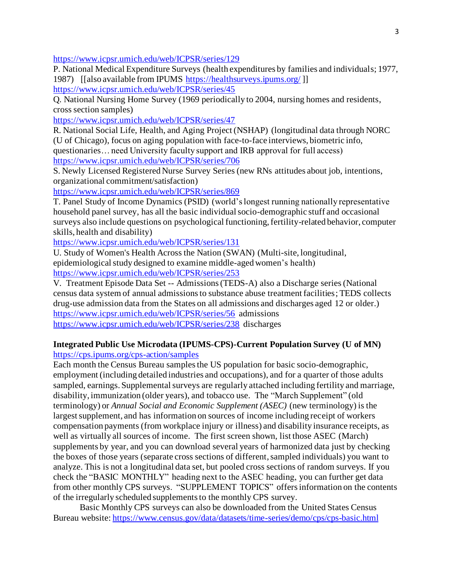[https://www.icpsr.umich.edu/web/ICPSR/series/129](about:blank)

P. National Medical Expenditure Surveys (health expenditures by families and individuals; 1977, 1987) [[also available from IPUMS [https://healthsurveys.ipums.org/](about:blank) ]] [https://www.icpsr.umich.edu/web/ICPSR/series/45](about:blank) 

Q. National Nursing Home Survey (1969 periodically to 2004, nursing homes and residents, cross section samples)

[https://www.icpsr.umich.edu/web/ICPSR/series/47](about:blank)

R. National Social Life, Health, and Aging Project (NSHAP) (longitudinal data through NORC (U of Chicago), focus on aging population with face-to-face interviews, biometric info, questionaries… need University faculty support and IRB approval for full access) [https://www.icpsr.umich.edu/web/ICPSR/series/706](about:blank)

S. Newly Licensed Registered Nurse Survey Series (new RNs attitudes about job, intentions, organizational commitment/satisfaction)

[https://www.icpsr.umich.edu/web/ICPSR/series/869](about:blank)

T. Panel Study of Income Dynamics (PSID) (world's longest running nationally representative household panel survey, has all the basic individual socio-demographic stuff and occasional surveys also include questions on psychological functioning, fertility-related behavior, computer skills, health and disability)

[https://www.icpsr.umich.edu/web/ICPSR/series/131](about:blank)

U. Study of Women's Health Across the Nation (SWAN) (Multi-site, longitudinal, epidemiological study designed to examine middle-aged women's health) [https://www.icpsr.umich.edu/web/ICPSR/series/253](about:blank)

V. Treatment Episode Data Set -- Admissions (TEDS-A) also a Discharge series (National census data system of annual admissions to substance abuse treatment facilities; TEDS collects drug-use admission data from the States on all admissions and discharges aged 12 or older.) [https://www.icpsr.umich.edu/web/ICPSR/series/56](about:blank) admissions [https://www.icpsr.umich.edu/web/ICPSR/series/238](about:blank) discharges

# **Integrated Public Use Microdata (IPUMS-CPS)-Current Population Survey (U of MN)**

[https://cps.ipums.org/cps-action/samples](about:blank)

Each month the Census Bureau samples the US population for basic socio-demographic, employment (including detailed industries and occupations), and for a quarter of those adults sampled, earnings. Supplemental surveys are regularly attached including fertility and marriage, disability, immunization (older years), and tobacco use. The "March Supplement" (old terminology) or *Annual Social and Economic Supplement (ASEC)* (new terminology) is the largest supplement, and has information on sources of income including receipt of workers compensation payments (from workplace injury or illness) and disability insurance receipts, as well as virtually all sources of income. The first screen shown, list those ASEC (March) supplements by year, and you can download several years of harmonized data just by checking the boxes of those years (separate cross sections of different, sampled individuals) you want to analyze. This is not a longitudinal data set, but pooled cross sections of random surveys. If you check the "BASIC MONTHLY" heading next to the ASEC heading, you can further get data from other monthly CPS surveys. "SUPPLEMENT TOPICS" offers information on the contents of the irregularly scheduled supplements to the monthly CPS survey.

Basic Monthly CPS surveys can also be downloaded from the United States Census Bureau website[: https://www.census.gov/data/datasets/time-series/demo/cps/cps-basic.html](about:blank)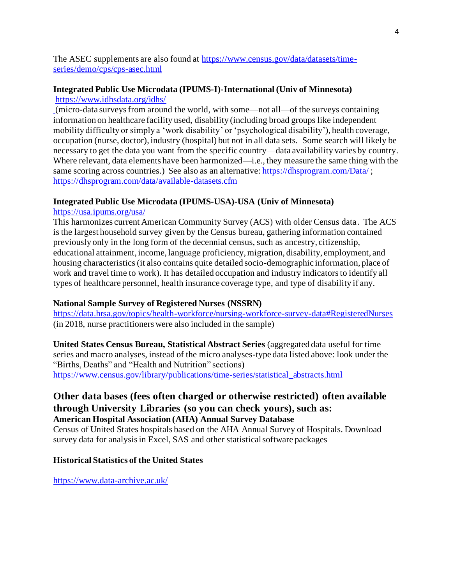The ASEC supplements are also found at [https://www.census.gov/data/datasets/time](about:blank)[series/demo/cps/cps-asec.html](about:blank)

## **Integrated Public Use Microdata (IPUMS-I)-International (Univ of Minnesota)** [https://www.idhsdata.org/idhs/](about:blank)

(micro-data surveys from around the world, with some—not all—of the surveys containing information on healthcare facility used, disability (including broad groups like independent mobility difficulty or simply a 'work disability' or 'psychological disability'), health coverage, occupation (nurse, doctor), industry (hospital) but not in all data sets. Some search will likely be necessary to get the data you want from the specific country—data availability varies by country. Where relevant, data elements have been harmonized—i.e., they measure the same thing with the same scoring across countries.) See also as an alternative: [https://dhsprogram.com/Data/](about:blank); [https://dhsprogram.com/data/available-datasets.cfm](about:blank)

#### **Integrated Public Use Microdata (IPUMS-USA)-USA (Univ of Minnesota)**

## [https://usa.ipums.org/usa/](about:blank)

This harmonizes current American Community Survey (ACS) with older Census data. The ACS is the largest household survey given by the Census bureau, gathering information contained previously only in the long form of the decennial census, such as ancestry, citizenship, educational attainment, income, language proficiency, migration, disability, employment, and housing characteristics (it also contains quite detailed socio-demographic information, place of work and travel time to work). It has detailed occupation and industry indicators to identify all types of healthcare personnel, health insurance coverage type, and type of disability if any.

## **National Sample Survey of Registered Nurses (NSSRN)**

[https://data.hrsa.gov/topics/health-workforce/nursing-workforce-survey-data#RegisteredNurses](about:blank#RegisteredNurses) (in 2018, nurse practitioners were also included in the sample)

**United States Census Bureau, Statistical Abstract Series** (aggregated data useful for time series and macro analyses, instead of the micro analyses-type data listed above: look under the "Births, Deaths" and "Health and Nutrition" sections) [https://www.census.gov/library/publications/time-series/statistical\\_abstracts.html](about:blank)

# **Other data bases (fees often charged or otherwise restricted) often available through University Libraries (so you can check yours), such as: American Hospital Association (AHA) Annual Survey Database**

Census of United States hospitals based on the AHA Annual Survey of Hospitals. Download survey data for analysis in Excel, SAS and other statistical software packages

#### **Historical Statistics of the United States**

[https://www.data-archive.ac.uk/](about:blank)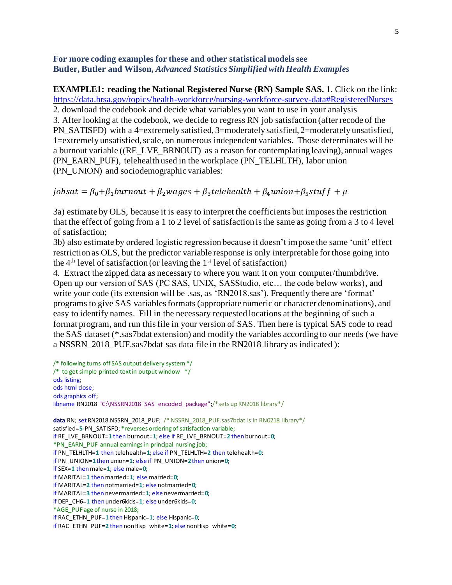## **For more coding examples for these and other statistical models see Butler, Butler and Wilson,** *Advanced Statistics Simplified with Health Examples*

**EXAMPLE1: reading the National Registered Nurse (RN) Sample SAS.** 1. Click on the link: https://data.hrsa.gov/topics/health-workforce/nursing-workforce-survey-data#RegisteredNurses 2. download the codebook and decide what variables you want to use in your analysis 3. After looking at the codebook, we decide to regress RN job satisfaction (after recode of the PN\_SATISFD) with a 4=extremely satisfied, 3=moderately satisfied, 2=moderately unsatisfied, 1=extremely unsatisfied, scale, on numerous independent variables. Those determinates will be a burnout variable ((RE\_LVE\_BRNOUT) as a reason for contemplating leaving), annual wages (PN\_EARN\_PUF), telehealth used in the workplace (PN\_TELHLTH), labor union (PN\_UNION) and sociodemographic variables:

```
jobsat = \beta_0 + \beta_1burnout + \beta_2wages + \beta_3telehealth + \beta_4union+\beta_5stuf f + \mu
```
3a) estimate by OLS, because it is easy to interpret the coefficients but imposes the restriction that the effect of going from a 1 to 2 level of satisfaction is the same as going from a 3 to 4 level of satisfaction;

3b) also estimate by ordered logistic regression because it doesn't impose the same 'unit' effect restriction as OLS, but the predictor variable response is only interpretable for those going into the  $4<sup>th</sup>$  level of satisfaction (or leaving the  $1<sup>st</sup>$  level of satisfaction)

4. Extract the zipped data as necessary to where you want it on your computer/thumbdrive. Open up our version of SAS (PC SAS, UNIX, SASStudio, etc… the code below works), and write your code (its extension will be .sas, as 'RN2018.sas'). Frequently there are 'format' programs to give SAS variables formats (appropriate numeric or character denominations), and easy to identify names. Fill in the necessary requested locations at the beginning of such a format program, and run this file in your version of SAS. Then here is typical SAS code to read the SAS dataset (\*.sas7bdat extension) and modify the variables according to our needs (we have a NSSRN 2018 PUF.sas7bdat sas data file in the RN2018 library as indicated ):

```
/* following turns off SAS output delivery system */
/* to get simple printed text in output window */ods listing;
ods html close;
ods graphics off;
libname RN2018 "C:\NSSRN2018_SAS_encoded_package";/*sets up RN2018 library*/
data RN; set RN2018.NSSRN_2018_PUF; /* NSSRN_2018_PUF.sas7bdat is in RN0218_library*/
satisfied=5-PN_SATISFD; *reverses ordering of satisfaction variable;
if RE_LVE_BRNOUT=1 then burnout=1; else if RE_LVE_BRNOUT=2 then burnout=0;
*PN_EARN_PUF annual earnings in principal nursing job;
if PN_TELHLTH=1 then telehealth=1; else if PN_TELHLTH=2 then telehealth=0;
if PN_UNION=1then union=1; else if PN_UNION=2then union=0;
if SEX=1 thenmale=1; else male=0;
if MARITAL=1 thenmarried=1; else married=0;
if MARITAL=2 then notmarried=1; else notmarried=0;
if MARITAL=3 then nevermarried=1; else nevermarried=0;
if DEP_CH6=1 then under6kids=1; else under6kids=0;
*AGE_PUF age of nurse in 2018;
if RAC_ETHN_PUF=1 then Hispanic=1; else Hispanic=0;
if RAC_ETHN_PUF=2 then nonHisp_white=1; else nonHisp_white=0;
```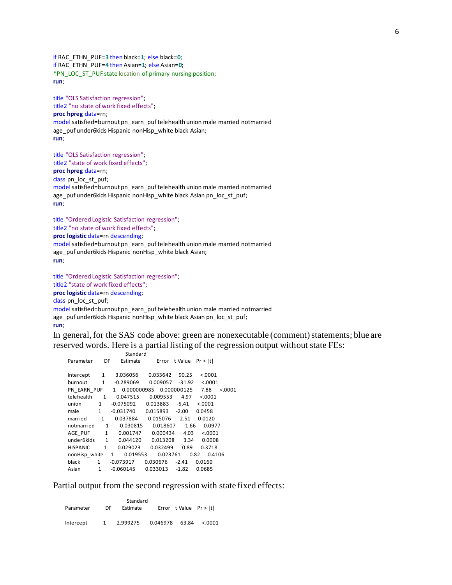if RAC\_ETHN\_PUF=**3** then black=**1**; else black=**0**; if RAC\_ETHN\_PUF=**4** then Asian=**1**; else Asian=**0**; \*PN\_LOC\_ST\_PUF state location of primary nursing position; **run**;

title "OLS Satisfaction regression"; title2 "no state of work fixed effects"; **proc hpreg** data=rn; modelsatisfied=burnout pn\_earn\_puf telehealth union male married notmarried age\_puf under6kids Hispanic nonHisp\_white black Asian; **run**;

title "OLS Satisfaction regression"; title2 "state of work fixed effects"; **proc hpreg** data=rn; class pn\_loc\_st\_puf; modelsatisfied=burnout pn\_earn\_puf telehealth union male married notmarried age\_puf under6kids Hispanic nonHisp\_white black Asian pn\_loc\_st\_puf; **run**;

title "Ordered Logistic Satisfaction regression"; title2 "no state of work fixed effects"; **proc logistic** data=rn descending; model satisfied=burnout pn\_earn\_puf telehealth union male married notmarried age\_puf under6kids Hispanic nonHisp\_white black Asian; **run**;

```
title "Ordered Logistic Satisfaction regression";
title2 "state of work fixed effects"; 
proc logistic data=rn descending;
class pn_loc_st_puf;
modelsatisfied=burnout pn_earn_puf telehealth union male married notmarried
age_puf under6kids Hispanic nonHisp_white black Asian pn_loc_st_puf;
run;
```
In general, for the SAS code above: green are nonexecutable (comment) statements; blue are reserved words. Here is a partial listing of the regression output without state FEs:

|                 |              | Standard                    |          |             |         |         |
|-----------------|--------------|-----------------------------|----------|-------------|---------|---------|
| Parameter       | DF           | Estimate                    | Error    | t Value     | Pr >  t |         |
|                 |              |                             |          |             |         |         |
| Intercept       | 1            | 3.036056                    | 0.033642 | 90.25       | < .0001 |         |
| burnout         | $\mathbf{1}$ | $-0.289069$                 | 0.009057 | $-31.92$    | < .0001 |         |
| PN EARN PUF     |              | $\mathbf{1}$<br>0.000000985 |          | 0.000000125 | 7.88    | < 0.001 |
| telehealth      | 1            | 0.047515                    | 0.009553 | 4.97        | < .0001 |         |
| union           | $\mathbf{1}$ | $-0.075092$                 | 0.013883 | -5.41       | < .0001 |         |
| male            | $\mathbf{1}$ | -0.031740                   | 0.015893 | $-2.00$     | 0.0458  |         |
| married         | $\mathbf{1}$ | 0.037884                    | 0.015076 | 2.51        | 0.0120  |         |
| notmarried      | 1            | $-0.030815$                 | 0.018607 | $-1.66$     | 0.0977  |         |
| AGE PUF         | $\mathbf{1}$ | 0.001747                    | 0.000434 | 4.03        | < .0001 |         |
| under6kids      | $\mathbf{1}$ | 0.044120                    | 0.013208 | 3.34        | 0.0008  |         |
| <b>HISPANIC</b> | $\mathbf{1}$ | 0.029023                    | 0.032499 | 0.89        | 0.3718  |         |
| nonHisp white   |              | 0.019553<br>$\mathbf{1}$    | 0.023761 | 0.82        | 0.4106  |         |
| black           | $\mathbf{1}$ | $-0.073917$                 | 0.030676 | $-2.41$     | 0.0160  |         |
| Asian           | $\mathbf{1}$ | $-0.060145$                 | 0.033013 | $-1.82$     | 0.0685  |         |
|                 |              |                             |          |             |         |         |

Partial output from the second regression with state fixed effects:

| Parameter | Standard<br>DF<br>Estimate |          |          | Error t Value $Pr >  t $ |          |
|-----------|----------------------------|----------|----------|--------------------------|----------|
| Intercept | 1                          | 2.999275 | 0.046978 | 63.84                    | < 0.0001 |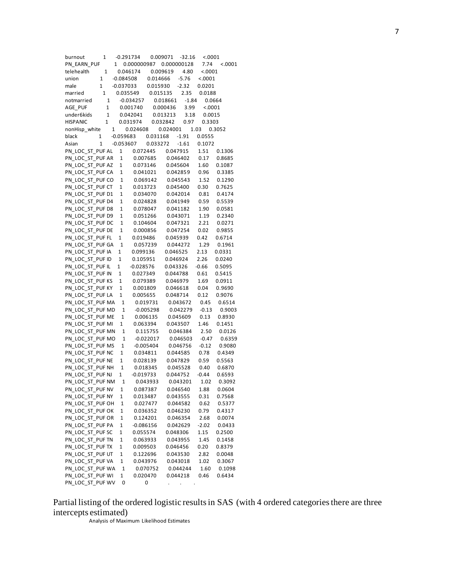| burnout          | 1           |              | $-0.291734$ | $-32.16$<br>0.009071 | < .0001 |         |  |
|------------------|-------------|--------------|-------------|----------------------|---------|---------|--|
| PN EARN PUF      |             | 1            | 0.000000987 | 0.000000128          | 7.74    | < .0001 |  |
| telehealth       | 1           |              | 0.046174    | 0.009619<br>4.80     | < .0001 |         |  |
| union            | 1           | $-0.084508$  | 0.014666    | $-5.76$              | < .0001 |         |  |
| male             | 1           | $-0.037033$  | 0.015930    | $-2.32$              | 0.0201  |         |  |
| married          | 1           |              | 0.035549    | 2.35<br>0.015135     | 0.0188  |         |  |
| notmarried       | 1           |              | $-0.034257$ | $-1.84$<br>0.018661  | 0.0664  |         |  |
| AGE PUF          | 1           |              | 0.001740    | 0.000436<br>3.99     | < .0001 |         |  |
| under6kids       | 1           |              |             |                      |         |         |  |
|                  |             |              | 0.042041    | 0.013213<br>3.18     | 0.0015  |         |  |
| <b>HISPANIC</b>  | 1           |              | 0.031974    | 0.032842<br>0.97     | 0.3303  |         |  |
| nonHisp white    | $\mathbf 1$ |              | 0.024608    | 0.024001             | 1.03    | 0.3052  |  |
| black            | 1           | $-0.059683$  | 0.031168    | $-1.91$              | 0.0555  |         |  |
| Asian            | 1           | $-0.053607$  | 0.033272    | $-1.61$              | 0.1072  |         |  |
| PN_LOC_ST_PUF AL |             | 1            | 0.072445    | 0.047915             | 1.51    | 0.1306  |  |
| PN LOC ST PUF AR |             | 1            | 0.007685    | 0.046402             | 0.17    | 0.8685  |  |
| PN_LOC_ST_PUF AZ |             | 1            | 0.073146    | 0.045604             | 1.60    | 0.1087  |  |
| PN_LOC_ST_PUF CA |             | 1            | 0.041021    | 0.042859             | 0.96    | 0.3385  |  |
| PN_LOC_ST_PUF CO |             | $\mathbf{1}$ | 0.069142    | 0.045543             | 1.52    | 0.1290  |  |
| PN LOC ST PUF CT |             | 1            | 0.013723    | 0.045400             | 0.30    | 0.7625  |  |
| PN_LOC_ST_PUF D1 |             | 1            | 0.034070    | 0.042014             | 0.81    | 0.4174  |  |
| PN_LOC_ST_PUF D4 |             | 1            | 0.024828    | 0.041949             | 0.59    | 0.5539  |  |
| PN LOC ST PUF D8 |             | 1            | 0.078047    | 0.041182             | 1.90    | 0.0581  |  |
| PN LOC ST PUF D9 |             | 1            | 0.051266    | 0.043071             | 1.19    | 0.2340  |  |
| PN LOC ST PUF DC |             | $\mathbf 1$  | 0.104604    | 0.047321             | 2.21    | 0.0271  |  |
|                  |             |              |             |                      |         |         |  |
| PN_LOC_ST_PUF DE |             | 1            | 0.000856    | 0.047254             | 0.02    | 0.9855  |  |
| PN LOC ST PUF FL |             | $\mathbf 1$  | 0.019486    | 0.045939             | 0.42    | 0.6714  |  |
| PN_LOC_ST_PUF GA |             | 1            | 0.057239    | 0.044272             | 1.29    | 0.1961  |  |
| PN_LOC_ST_PUF IA |             | 1            | 0.099136    | 0.046525             | 2.13    | 0.0331  |  |
| PN_LOC_ST_PUF ID |             | 1            | 0.105951    | 0.046924             | 2.26    | 0.0240  |  |
| PN LOC ST PUF IL |             | 1            | $-0.028576$ | 0.043326             | $-0.66$ | 0.5095  |  |
| PN_LOC_ST_PUF IN |             | 1            | 0.027349    | 0.044788             | 0.61    | 0.5415  |  |
| PN_LOC_ST_PUF KS |             | 1            | 0.079389    | 0.046979             | 1.69    | 0.0911  |  |
| PN_LOC_ST_PUF KY |             | 1            | 0.001809    | 0.046618             | 0.04    | 0.9690  |  |
| PN_LOC_ST_PUF LA |             | 1            | 0.005655    | 0.048714             | 0.12    | 0.9076  |  |
| PN_LOC_ST_PUF MA |             | 1            | 0.019731    | 0.043672             | 0.45    | 0.6514  |  |
| PN LOC ST PUF MD |             | 1            | $-0.005298$ | 0.042279             | $-0.13$ | 0.9003  |  |
| PN_LOC_ST_PUF ME |             | 1            | 0.006135    | 0.045609             | 0.13    | 0.8930  |  |
| PN_LOC_ST_PUF MI |             | 1            | 0.063394    | 0.043507             | 1.46    | 0.1451  |  |
|                  |             |              |             |                      | 2.50    |         |  |
| PN_LOC_ST_PUF MN |             | 1            | 0.115755    | 0.046384             |         | 0.0126  |  |
| PN_LOC_ST_PUF MO |             | $\mathbf{1}$ | $-0.022017$ | 0.046503             | $-0.47$ | 0.6359  |  |
| PN_LOC_ST_PUF MS |             | 1            | $-0.005404$ | 0.046756             | $-0.12$ | 0.9080  |  |
| PN_LOC_ST_PUF NC |             | 1            | 0.034811    | 0.044585             | 0.78    | 0.4349  |  |
| PN_LOC_ST_PUF NE |             | 1            | 0.028139    | 0.047829             | 0.59    | 0.5563  |  |
| PN LOC ST PUF NH |             | $\mathbf 1$  | 0.018345    | 0.045528             | 0.40    | 0.6870  |  |
| PN_LOC_ST_PUF NJ |             | 1            | $-0.019733$ | 0.044752             | $-0.44$ | 0.6593  |  |
| PN LOC ST PUF NM |             | 1            | 0.043933    | 0.043201             | 1.02    | 0.3092  |  |
| PN_LOC_ST_PUF NV |             | 1            | 0.087387    | 0.046540             | 1.88    | 0.0604  |  |
| PN_LOC_ST_PUF NY |             | 1            | 0.013487    | 0.043555             | 0.31    | 0.7568  |  |
| PN LOC ST PUF OH |             | 1            | 0.027477    | 0.044582             | 0.62    | 0.5377  |  |
| PN LOC ST PUF OK |             | 1            | 0.036352    | 0.046230             | 0.79    | 0.4317  |  |
| PN LOC ST PUF OR |             | 1            | 0.124201    | 0.046354             | 2.68    | 0.0074  |  |
|                  |             |              |             |                      |         |         |  |
| PN_LOC_ST_PUF PA |             | 1            | $-0.086156$ | 0.042629             | $-2.02$ | 0.0433  |  |
| PN_LOC_ST_PUF SC |             | 1            | 0.055574    | 0.048306             | 1.15    | 0.2500  |  |
| PN LOC ST PUF TN |             | 1            | 0.063933    | 0.043955             | 1.45    | 0.1458  |  |
| PN_LOC_ST_PUF TX |             | 1            | 0.009503    | 0.046456             | 0.20    | 0.8379  |  |
| PN_LOC_ST_PUF UT |             | 1            | 0.122696    | 0.043530             | 2.82    | 0.0048  |  |
| PN LOC ST PUF VA |             | 1            | 0.043976    | 0.043018             | 1.02    | 0.3067  |  |
| PN LOC ST PUF WA |             | 1            | 0.070752    | 0.044244             | 1.60    | 0.1098  |  |
| PN LOC ST PUF WI |             | 1            | 0.020470    | 0.044218             | 0.46    | 0.6434  |  |
| PN_LOC_ST_PUF WV |             | 0            | 0           |                      |         |         |  |

Partial listing of the ordered logistic results in SAS (with 4 ordered categories there are three intercepts estimated)

Analysis of Maximum Likelihood Estimates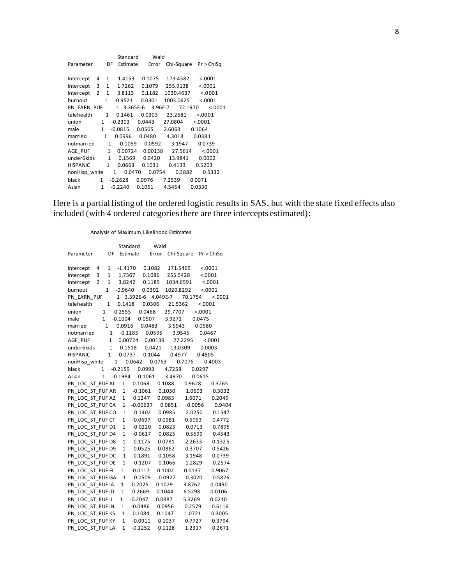|                 |              |              | Standard    | Wald               |           |                       |
|-----------------|--------------|--------------|-------------|--------------------|-----------|-----------------------|
| Parameter       |              | DF           | Estimate    | Error              |           | Chi-Square Pr > ChiSq |
|                 |              |              |             |                    |           |                       |
| Intercept       | 4            | $\mathbf{1}$ | $-1.4153$   | 0.1075             | 173.4582  | < .0001               |
| Intercept       | 3            | 1            | 1.7262      | 0.1079             | 255.9138  | < .0001               |
| Intercept       | 2            | $\mathbf{1}$ | 3.8113      | 0.1182             | 1039.4637 | < 0.001               |
| burnout         |              | $\mathbf{1}$ | -0.9521     | 0.0301             | 1003.0625 | < .0001               |
| PN EARN PUF     |              |              |             | 1 3.365E-6 3.96E-7 | 72.1970   | < .0001               |
| telehealth      |              | $\mathbf{1}$ | 0.1461      | 0.0303             | 23.2681   | < .0001               |
| union           | 1            |              | $-0.2303$   | 0.0443             | 27.0804   | < .0001               |
| male            | $\mathbf{1}$ |              | $-0.0815$   | 0.0505             | 2.6063    | 0.1064                |
| married         | $\mathbf{1}$ |              | 0.0996      | 0.0480             | 4.3018    | 0.0381                |
| notmarried      |              | 1            | $-0.1059$   | 0.0592             | 3.1947    | 0.0739                |
| AGE PUF         |              | $\mathbf{1}$ | 0.00724     | 0.00138            | 27.5614   | < .0001               |
| under6kids      |              | $\mathbf{1}$ | 0.1569      | 0.0420             | 13.9841   | 0.0002                |
| <b>HISPANIC</b> |              | $\mathbf{1}$ | 0.0663      | 0.1031             | 0.4133    | 0.5203                |
| nonHisp white   |              |              | 0.0470<br>1 | 0.0754             | 0.3882    | 0.5332                |
| black           | 1            |              | $-0.2628$   | 0.0976             | 7.2539    | 0.0071                |
| Asian           | $\mathbf{1}$ |              | $-0.2240$   | 0.1051             | 4.5454    | 0.0330                |

Here is a partial listing of the ordered logistic results in SAS, but with the state fixed effects also included (with 4 ordered categories there are three intercepts estimated):

Analysis of Maximum Likelihood Estimates

|                  |             |              | Standard     |           |                   | Wald   |                         |         |         |         |
|------------------|-------------|--------------|--------------|-----------|-------------------|--------|-------------------------|---------|---------|---------|
| Parameter        |             | DF           | Estimate     |           |                   | Error  | Chi-Square Pr > ChiSq   |         |         |         |
|                  |             |              |              |           |                   |        |                         |         |         |         |
| Intercept        | 4           |              | 1 -1.4170    |           | 0.1082            |        | 171.5469                |         |         | < .0001 |
| Intercept        | 3           | $\mathbf{1}$ | 1.7367       |           | 0.1086            |        | 255.5428                |         | < .0001 |         |
| Intercept        | $2^{\circ}$ | $\mathbf{1}$ | 3.8242       |           | 0.1189            |        | 1034.6591               |         |         | < .0001 |
| burnout          |             | $\mathbf{1}$ | $-0.9640$    |           | 0.0302            |        | 1020.8292               |         |         | < .0001 |
| PN EARN PUF      |             |              | 1            |           | 3.392E-6 4.049E-7 |        |                         | 70.1754 |         | < .0001 |
| telehealth       |             | $1 \quad$    | 0.1418       |           | 0.0306            |        | 21.5362                 |         | < .0001 |         |
| union            | $1 \quad$   |              | $-0.2555$    |           | 0.0468            |        | 29.7707                 |         | < .0001 |         |
| male             | $1 \quad$   |              | $-0.1004$    |           | 0.0507            |        | 3.9271                  |         | 0.0475  |         |
| married          |             | 1            | 0.0916       |           | 0.0483            |        | 3.5943                  |         | 0.0580  |         |
| notmarried       |             |              |              |           | 1 -0.1183 0.0595  |        |                         | 3.9545  | 0.0467  |         |
| AGE PUF          |             | $\mathbf{1}$ |              |           |                   |        | 0.00724 0.00139 27.2295 |         |         | < .0001 |
| under6kids       |             | $\mathbf{1}$ |              |           | 0.1518  0.0421    |        | 13.0309                 |         | 0.0003  |         |
| <b>HISPANIC</b>  |             | 1            | 0.0737       |           | 0.1044            |        | 0.4977                  |         | 0.4805  |         |
| nonHisp white    |             |              | $1 \quad$    |           | 0.0642 0.0763     |        |                         | 0.7076  |         | 0.4003  |
| black            | 1           |              | $-0.2159$    |           | 0.0993            |        | 4.7258                  |         | 0.0297  |         |
| Asian            | 1           |              | $-0.1984$    |           | 0.1061            |        | 3.4970                  |         | 0.0615  |         |
| PN LOC ST PUF AL |             |              | 1            |           | 0.1068            |        | 0.1088                  | 0.9628  |         | 0.3265  |
| PN LOC ST PUF AR |             |              |              |           | 1 -0.1061         |        | 0.1030                  |         | 1.0603  | 0.3032  |
| PN_LOC_ST_PUF AZ |             |              | $\mathbf 1$  |           | 0.1247            |        | 0.0983                  | 1.6071  |         | 0.2049  |
| PN_LOC_ST_PUF CA |             |              | $\mathbf 1$  |           | $-0.00637$        |        | 0.0851                  | 0.0056  |         | 0.9404  |
| PN LOC ST PUF CO |             |              | $\mathbf 1$  |           | 0.1402            |        | 0.0985                  | 2.0250  |         | 0.1547  |
| PN_LOC_ST_PUF CT |             |              | $\mathbf{1}$ |           | $-0.0697$         |        | 0.0981                  | 0.5053  |         | 0.4772  |
| PN LOC ST PUF D1 |             |              | $\mathbf 1$  |           | $-0.0220$         |        | 0.0823                  | 0.0713  |         | 0.7895  |
| PN LOC ST PUF D4 |             |              | $\mathbf{1}$ |           | $-0.0617$         |        | 0.0825                  | 0.5599  |         | 0.4543  |
| PN LOC ST PUF D8 |             |              | $\mathbf{1}$ |           | 0.1175            |        | 0.0781                  | 2.2633  |         | 0.1325  |
| PN_LOC_ST_PUF D9 |             |              | $\mathbf{1}$ | 0.0525    |                   |        | 0.0862                  | 0.3707  |         | 0.5426  |
| PN_LOC_ST_PUF DC |             |              | $\mathbf 1$  |           | 0.1891            |        | 0.1058                  | 3.1948  |         | 0.0739  |
| PN_LOC_ST_PUF DE |             |              | $\mathbf{1}$ | $-0.1207$ |                   |        | 0.1066                  | 1.2829  |         | 0.2574  |
| PN_LOC_ST_PUF FL |             |              | $\mathbf{1}$ | $-0.0117$ |                   |        | 0.1002                  | 0.0137  |         | 0.9067  |
| PN LOC ST PUF GA |             |              | $\mathbf 1$  | 0.0509    |                   |        | 0.0927                  | 0.3020  |         | 0.5826  |
| PN_LOC_ST_PUF IA |             |              | $\mathbf{1}$ | 0.2025    |                   | 0.1029 |                         | 3.8762  |         | 0.0490  |
| PN_LOC_ST_PUF ID |             |              | $\mathbf{1}$ | 0.2669    |                   | 0.1044 |                         | 6.5298  |         | 0.0106  |
| PN_LOC_ST_PUF IL |             |              | $\mathbf{1}$ | $-0.2047$ |                   | 0.0887 |                         | 5.3269  |         | 0.0210  |
| PN_LOC_ST_PUF IN |             |              | $\mathbf{1}$ | $-0.0486$ |                   |        | 0.0956                  | 0.2579  |         | 0.6116  |
| PN LOC ST PUF KS |             |              | $\mathbf{1}$ | 0.1084    |                   |        | 0.1047                  | 1.0721  |         | 0.3005  |
| PN LOC ST PUF KY |             |              | $\mathbf{1}$ | -0.0911   |                   |        | 0.1037                  | 0.7727  |         | 0.3794  |
| PN_LOC_ST_PUF LA |             |              | $\mathbf{1}$ | $-0.1252$ |                   |        | 0.1128                  | 1.2317  |         | 0.2671  |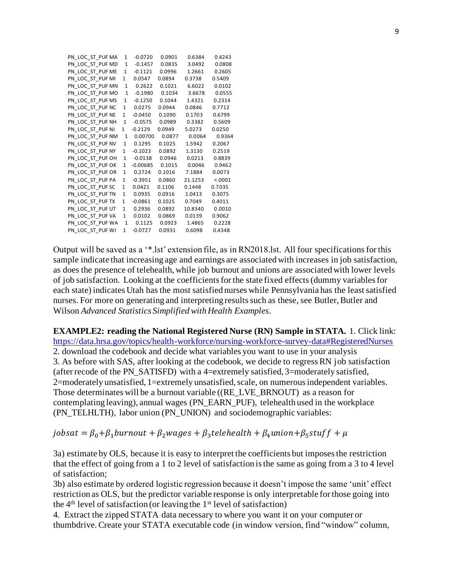| PN LOC ST PUF MA | 1            | $-0.0720$  | 0.0901 | 0.6384  | 0.4243  |
|------------------|--------------|------------|--------|---------|---------|
| PN LOC ST PUF MD | 1            | $-0.1457$  | 0.0835 | 3.0492  | 0.0808  |
| PN LOC ST PUF ME | $\mathbf{1}$ | $-0.1121$  | 0.0996 | 1.2661  | 0.2605  |
| PN LOC ST PUF MI | $\mathbf{1}$ | 0.0547     | 0.0894 | 0.3738  | 0.5409  |
| PN LOC ST PUF MN | $\mathbf{1}$ | 0.2622     | 0.1021 | 6.6022  | 0.0102  |
| PN LOC ST PUF MO | $\mathbf{1}$ | $-0.1980$  | 0.1034 | 3.6678  | 0.0555  |
| PN LOC ST PUF MS | $\mathbf{1}$ | $-0.1250$  | 0.1044 | 1.4321  | 0.2314  |
| PN LOC ST PUF NC | $\mathbf{1}$ | 0.0275     | 0.0944 | 0.0846  | 0.7712  |
| PN LOC ST PUF NE | $\mathbf{1}$ | $-0.0450$  | 0.1090 | 0.1703  | 0.6799  |
| PN LOC ST PUF NH | $\mathbf{1}$ | $-0.0575$  | 0.0989 | 0.3382  | 0.5609  |
| PN LOC ST PUF NJ | $\mathbf{1}$ | $-0.2129$  | 0.0949 | 5.0273  | 0.0250  |
| PN LOC ST PUF NM | $\mathbf{1}$ | 0.00700    | 0.0877 | 0.0064  | 0.9364  |
| PN LOC ST PUF NV | 1            | 0.1295     | 0.1025 | 1.5942  | 0.2067  |
| PN LOC ST PUF NY | 1            | $-0.1023$  | 0.0892 | 1.3130  | 0.2519  |
| PN LOC ST PUF OH | $\mathbf{1}$ | $-0.0138$  | 0.0946 | 0.0213  | 0.8839  |
| PN LOC ST PUF OK | $\mathbf{1}$ | $-0.00685$ | 0.1015 | 0.0046  | 0.9462  |
| PN_LOC_ST_PUF OR | $\mathbf{1}$ | 0.2724     | 0.1016 | 7.1884  | 0.0073  |
| PN LOC ST PUF PA | $\mathbf{1}$ | $-0.3951$  | 0.0860 | 21.1253 | < .0001 |
| PN LOC ST PUF SC | 1            | 0.0421     | 0.1106 | 0.1448  | 0.7035  |
| PN LOC ST PUF TN | $\mathbf{1}$ | 0.0935     | 0.0916 | 1.0413  | 0.3075  |
| PN LOC ST PUF TX | $\mathbf{1}$ | $-0.0861$  | 0.1025 | 0.7049  | 0.4011  |
| PN LOC ST PUF UT | $\mathbf{1}$ | 0.2936     | 0.0892 | 10.8340 | 0.0010  |
| PN_LOC_ST_PUF VA | $\mathbf{1}$ | 0.0102     | 0.0869 | 0.0139  | 0.9062  |
| PN LOC ST PUF WA | $\mathbf{1}$ | 0.1125     | 0.0923 | 1.4865  | 0.2228  |
| PN LOC ST PUF WI | $\mathbf{1}$ | $-0.0727$  | 0.0931 | 0.6098  | 0.4348  |
|                  |              |            |        |         |         |

Output will be saved as a '\*.lst' extension file, as in RN2018.lst. All four specificationsfor this sample indicate that increasing age and earnings are associated with increases in job satisfaction, as does the presence of telehealth, while job burnout and unions are associated with lower levels of job satisfaction. Looking at the coefficients for the state fixed effects (dummy variables for each state) indicates Utah has the most satisfied nurses while Pennsylvania has the least satisfied nurses. For more on generating and interpreting results such as these, see Butler, Butler and Wilson *Advanced Statistics Simplified with Health Examples*.

**EXAMPLE2: reading the National Registered Nurse (RN) Sample in STATA.** 1. Click link: [https://data.hrsa.gov/topics/health-workforce/nursing-workforce-survey-data#RegisteredNurses](about:blank#RegisteredNurses) 2. download the codebook and decide what variables you want to use in your analysis 3. As before with SAS, after looking at the codebook, we decide to regress RN job satisfaction (after recode of the PN\_SATISFD) with a 4=extremely satisfied, 3=moderately satisfied, 2=moderately unsatisfied, 1=extremely unsatisfied, scale, on numerous independent variables. Those determinates will be a burnout variable ((RE\_LVE\_BRNOUT) as a reason for contemplating leaving), annual wages (PN\_EARN\_PUF), telehealth used in the workplace (PN\_TELHLTH), labor union (PN\_UNION) and sociodemographic variables:

jobsat =  $\beta_0 + \beta_1$ burnout +  $\beta_2$ wages +  $\beta_3$ telehealth +  $\beta_4$ union+ $\beta_5$ stuf f +  $\mu$ 

3a) estimate by OLS, because it is easy to interpret the coefficients but imposes the restriction that the effect of going from a 1 to 2 level of satisfaction is the same as going from a 3 to 4 level of satisfaction;

3b) also estimate by ordered logistic regression because it doesn't impose the same 'unit' effect restriction as OLS, but the predictor variable response is only interpretable for those going into the  $4<sup>th</sup>$  level of satisfaction (or leaving the  $1<sup>st</sup>$  level of satisfaction)

4. Extract the zipped STATA data necessary to where you want it on your computer or thumbdrive. Create your STATA executable code (in window version, find "window" column,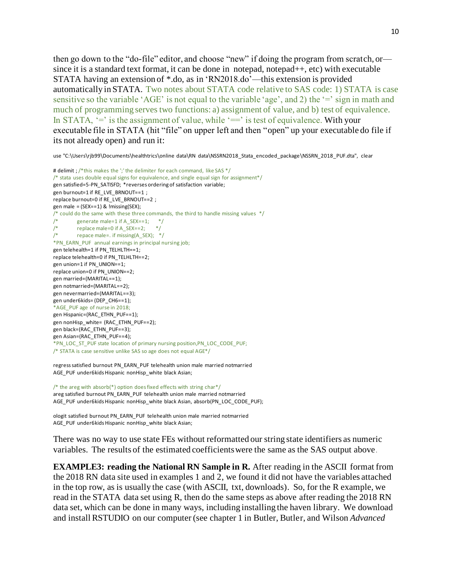then go down to the "do-file" editor, and choose "new" if doing the program from scratch, or since it is a standard text format, it can be done in notepad, notepad++, etc) with executable STATA having an extension of \*.do, as in 'RN2018.do'—this extension is provided automatically in STATA. Two notes about STATA code relative to SAS code: 1) STATA is case sensitive so the variable 'AGE' is not equal to the variable 'age', and 2) the '=' sign in math and much of programming serves two functions: a) assignment of value, and b) test of equivalence. In STATA,  $\equiv$  is the assignment of value, while  $\equiv$  is test of equivalence. With your executable file in STATA (hit "file" on upper left and then "open" up your executable do file if its not already open) and run it:

use "C:\Users\rjb99\Documents\healthtrics\online data\RN data\NSSRN2018\_Stata\_encoded\_package\NSSRN\_2018\_PUF.dta", clear

```
# delimit ; /*this makes the ';' the delimiter for each command, like SAS */
/* stata uses double equal signs for equivalence, and single equal sign for assignment*/
gen satisfied=5-PN_SATISFD; *reverses ordering of satisfaction variable;
gen burnout=1 if RE_LVE_BRNOUT==1 ; 
replace burnout=0 if RE_LVE_BRNOUT==2 ;
gen male = (SEX == 1) & !missing(SEX);
/* could do the same with these three commands, the third to handle missing values */<br>/* generate male=1 if A SEX==1; *//* generate male=1 if A_SEX==1; */<br>/* replace male=0 if A_SEX==2; *//* replace male=0 if A_SEX==2; */<br>/* repace male=. if missing(A SEX); *
         repace male=. if missing(A_SEX); */*PN_EARN_PUF annual earnings in principal nursing job;
gen telehealth=1 if PN_TELHLTH==1;
replace telehealth=0 if PN_TELHLTH==2;
gen union=1 if PN_UNION==1;
replace union=0 if PN_UNION==2;
gen married=(MARITAL==1);
gen notmarried=(MARITAL==2); 
gen nevermarried=(MARITAL==3);
gen under6kids= (DEP CH6==1);
*AGE_PUF age of nurse in 2018;
gen Hispanic=(RAC_ETHN_PUF==1);
gen nonHisp_white= (RAC_ETHN_PUF==2);
gen black=(RAC_ETHN_PUF==3);
gen Asian=(RAC_ETHN_PUF==4);
*PN_LOC_ST_PUF state location of primary nursing position,PN_LOC_CODE_PUF;
/* STATA is case sensitive unlike SAS so age does not equal AGE*/
```
regress satisfied burnout PN\_EARN\_PUF telehealth union male married notmarried AGE\_PUF under6kids Hispanic nonHisp\_white black Asian;

/\* the areg with absorb(\*) option does fixed effects with string char\*/ areg satisfied burnout PN\_EARN\_PUF telehealth union male married notmarried AGE\_PUF under6kids Hispanic nonHisp\_white black Asian, absorb(PN\_LOC\_CODE\_PUF);

ologit satisfied burnout PN\_EARN\_PUF telehealth union male married notmarried AGE\_PUF under6kids Hispanic nonHisp\_white black Asian;

There was no way to use state FEs without reformatted our string state identifiers as numeric variables. The results of the estimated coefficients were the same as the SAS output above.

**EXAMPLE3: reading the National RN Sample in R.** After reading in the ASCII format from the 2018 RN data site used in examples 1 and 2, we found it did not have the variables attached in the top row, as is usually the case (with ASCII, txt, downloads). So, for the R example, we read in the STATA data set using R, then do the same steps as above after reading the 2018 RN data set, which can be done in many ways, including installing the haven library. We download and install RSTUDIO on our computer (see chapter 1 in Butler, Butler, and Wilson *Advanced*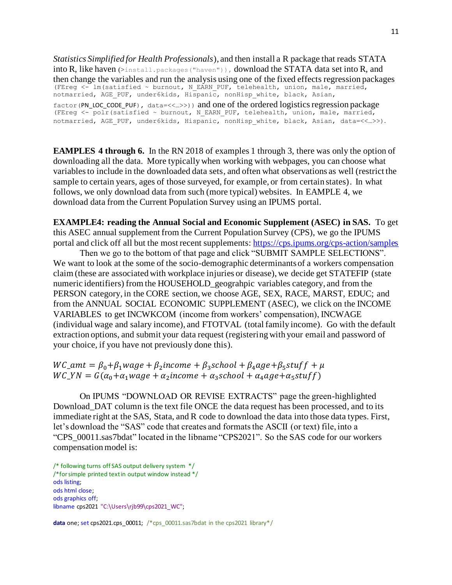*Statistics Simplified for Health Professionals*), and then install a R package that reads STATA into R, like haven  $(\text{shatial}, \text{package}( \text{"haven})))$ , download the STATA data set into R, and then change the variables and run the analysis using one of the fixed effects regression packages (FEreg <- lm(satisfied ~ burnout, N\_EARN\_PUF, telehealth, union, male, married, notmarried, AGE PUF, under6kids, Hispanic, nonHisp white, black, Asian,  $factor(PN$  LOC CODE PUF), data=<<...>>)) and one of the ordered logistics regression package (FEreg <- polr(satisfied ~ burnout, N\_EARN\_PUF, telehealth, union, male, married, notmarried, AGE\_PUF, under6kids, Hispanic, nonHisp\_white, black, Asian, data=<<…>>).

**EAMPLES 4 through 6.** In the RN 2018 of examples 1 through 3, there was only the option of downloading all the data. More typically when working with webpages, you can choose what variables to include in the downloaded data sets, and often what observations as well (restrict the sample to certain years, ages of those surveyed, for example, or from certain states). In what follows, we only download data from such (more typical) websites. In EAMPLE 4, we download data from the Current Population Survey using an IPUMS portal.

**EXAMPLE4: reading the Annual Social and Economic Supplement (ASEC) in SAS.** To get this ASEC annual supplement from the Current Population Survey (CPS), we go the IPUMS portal and click off all but the most recent supplements[: https://cps.ipums.org/cps-action/samples](about:blank)

Then we go to the bottom of that page and click "SUBMIT SAMPLE SELECTIONS". We want to look at the some of the socio-demographic determinants of a workers compensation claim (these are associated with workplace injuries or disease), we decide get STATEFIP (state numeric identifiers) from the HOUSEHOLD\_geograhpic variables category, and from the PERSON category, in the CORE section, we choose AGE, SEX, RACE, MARST, EDUC; and from the ANNUAL SOCIAL ECONOMIC SUPPLEMENT (ASEC), we click on the INCOME VARIABLES to get INCWKCOM (income from workers' compensation), INCWAGE (individual wage and salary income), and FTOTVAL (total family income). Go with the default extraction options, and submit your data request (registering with your email and password of your choice, if you have not previously done this).

 $WC\_amt = \beta_0 + \beta_1 wage + \beta_2 income + \beta_3 school + \beta_4 age + \beta_5 stufff + \mu$  $WC \, YN = G(\alpha_0 + \alpha_1 wage + \alpha_2 income + \alpha_3 school + \alpha_4 age + \alpha_5 stuff)$ 

On IPUMS "DOWNLOAD OR REVISE EXTRACTS" page the green-highlighted Download DAT column is the text file ONCE the data request has been processed, and to its immediate right at the SAS, Stata, and R code to download the data into those data types. First, let's download the "SAS" code that creates and formats the ASCII (or text) file, into a "CPS\_00011.sas7bdat" located in the libname "CPS2021". So the SAS code for our workers compensation model is:

/\* following turns off SAS output delivery system \*/ /\*forsimple printed text in output window instead \*/ ods listing; ods html close; ods graphics off; libname cps2021 "C:\Users\rib99\cps2021\_WC";

**data** one; set cps2021.cps 00011; /\*cps 00011.sas7bdat in the cps2021 library\*/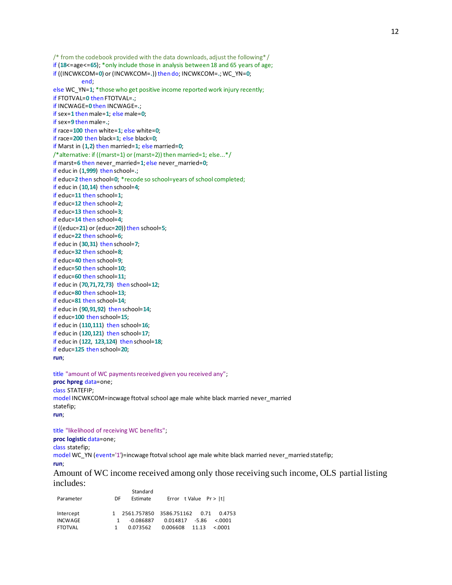/\* from the codebook provided with the data downloads, adjust the following\*/ if (**18**<=age<=**65**); \*only include those in analysis between 18 and 65 years of age; if ((INCWKCOM=**0**) or (INCWKCOM=**.**)) then do; INCWKCOM=**.**; WC\_YN=**0**; end; else WC\_YN=**1**; \*those who get positive income reported work injury recently; if FTOTVAL=**0** then FTOTVAL=**.**; if INCWAGE=**0** then INCWAGE=**.**; if sex=**1** thenmale=**1**; else male=**0**; if sex=**9** thenmale=**.**; if race=**100** then white=**1**; else white=**0**; if race=**200** then black=**1**; else black=**0**; if Marst in (**1**,**2**) then married=**1**; else married=**0**; /\*alternative: if ((marst=1) or (marst=2)) then married=1; else...\*/ if marst=**6** then never\_married=**1**; else never\_married=**0**; if educ in (**1**,**999**) then school=**.**; if educ=**2** then school=**0**; \*recode so school=years of school completed; if educ in (**10**,**14**) then school=**4**; if educ=**11** then school=**1**; if educ=**12** then school=**2**; if educ=**13** then school=**3**; if educ=**14** then school=**4**; if ((educ=**21**) or (educ=**20**)) then school=**5**; if educ=**22** then school=**6**; if educ in (**30**,**31**) then school=**7**; if educ=**32** then school=**8**; if educ=**40** then school=**9**; if educ=**50** then school=**10**; if educ=**60** then school=**11**; if educ in (**70**,**71**,**72**,**73**) then school=**12**; if educ=**80** then school=**13**; if educ=**81** then school=**14**; if educ in (**90**,**91**,**92**) then school=**14**; if educ=**100** then school=**15**; if educ in (**110**,**111**) then school=**16**; if educ in (**120**,**121**) then school=**17**; if educ in (**122**, **123**,**124**) then school=**18**; if educ=**125** then school=**20**; **run**;

title "amount of WC payments received given you received any"; **proc hpreg** data=one; class STATEFIP; model INCWKCOM=incwage ftotval school age male white black married never\_married statefip; **run**;

title "likelihood of receiving WC benefits"; **proc logistic** data=one; class statefip; model WC\_YN (event='1')=incwage ftotval school age male white black married never\_married statefip; **run**; Amount of WC income received among only those receiving such income, OLS partial listing includes:

| DE | Standard<br>Estimate |       |                                                                                                 |
|----|----------------------|-------|-------------------------------------------------------------------------------------------------|
|    |                      |       |                                                                                                 |
|    | $-0.086887$          |       | &0.001                                                                                          |
|    | 0.073562             | 11.13 | &0.001                                                                                          |
|    |                      |       | Error t Value $Pr >  t $<br>1 2561.757850 3586.751162 0.71 0.4753<br>0.014817 -5.86<br>0.006608 |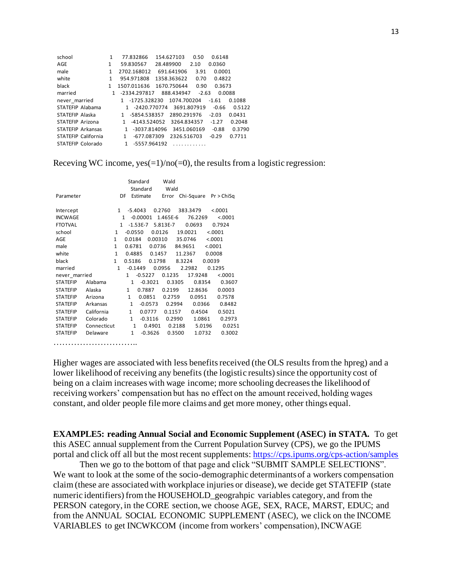| school                   | 1            | 77.832866         | 154.627103  | 0.50        | 0.6148  |        |
|--------------------------|--------------|-------------------|-------------|-------------|---------|--------|
| AGE                      | 1            | 59.830567         | 28.489900   | 2.10        | 0.0360  |        |
| male                     | 1            | 2702.168012       | 691.641906  | 3.91        | 0.0001  |        |
| white                    | 1            | 954.971808        | 1358.363622 | 0.70        | 0.4822  |        |
| black                    | 1            | 1507.011636       | 1670.750644 | 0.90        | 0.3673  |        |
| married                  | $\mathbf{1}$ | -2334.297817      | 888.434947  | $-2.63$     | 0.0088  |        |
| never married            |              | -1725.328230<br>1 | 1074.700204 |             | $-1.61$ | 0.1088 |
| STATEFIP Alabama         |              | 1 -2420.770774    |             | 3691.807919 | $-0.66$ | 0.5122 |
| STATEFIP Alaska          |              | -5854.538357<br>1 | 2890.291976 |             | $-2.03$ | 0.0431 |
| STATEFIP Arizona         |              | -4143.524052<br>1 | 3264.834357 |             | $-1.27$ | 0.2048 |
| <b>STATEFIP Arkansas</b> |              | -3037.814096<br>1 |             | 3451.060169 | $-0.88$ | 0.3790 |
| STATEFIP California      |              | -677.087309<br>1  | 2326.516703 |             | $-0.29$ | 0.7711 |
| STATEFIP Colorado        |              | 1<br>-5557.964192 |             |             |         |        |
|                          |              |                   |             |             |         |        |

Receving WC income,  $ves(=1)/no(=0)$ , the results from a logistic regression:

| $\mathbf{1}$ |                                                   |                         |                                                                                                                                                                          |                                                                                                                                             |                                                                                                                               |                                                                                              | < .0001                                                                                                                                                     |
|--------------|---------------------------------------------------|-------------------------|--------------------------------------------------------------------------------------------------------------------------------------------------------------------------|---------------------------------------------------------------------------------------------------------------------------------------------|-------------------------------------------------------------------------------------------------------------------------------|----------------------------------------------------------------------------------------------|-------------------------------------------------------------------------------------------------------------------------------------------------------------|
|              |                                                   |                         |                                                                                                                                                                          |                                                                                                                                             |                                                                                                                               |                                                                                              | < .0001                                                                                                                                                     |
|              |                                                   |                         |                                                                                                                                                                          |                                                                                                                                             |                                                                                                                               |                                                                                              | 0.7924                                                                                                                                                      |
| $\mathbf{1}$ |                                                   |                         |                                                                                                                                                                          |                                                                                                                                             |                                                                                                                               |                                                                                              | < .0001                                                                                                                                                     |
| 1            |                                                   |                         |                                                                                                                                                                          |                                                                                                                                             |                                                                                                                               |                                                                                              | < .0001                                                                                                                                                     |
| 1            |                                                   |                         |                                                                                                                                                                          |                                                                                                                                             |                                                                                                                               |                                                                                              |                                                                                                                                                             |
| 1            |                                                   |                         |                                                                                                                                                                          |                                                                                                                                             |                                                                                                                               |                                                                                              |                                                                                                                                                             |
| $\mathbf{1}$ |                                                   |                         |                                                                                                                                                                          |                                                                                                                                             |                                                                                                                               |                                                                                              |                                                                                                                                                             |
| 1            |                                                   |                         |                                                                                                                                                                          |                                                                                                                                             |                                                                                                                               |                                                                                              | 0.1295                                                                                                                                                      |
|              | $\mathbf{1}$                                      |                         |                                                                                                                                                                          |                                                                                                                                             |                                                                                                                               |                                                                                              | < .0001                                                                                                                                                     |
|              | $\mathbf{1}$                                      |                         |                                                                                                                                                                          |                                                                                                                                             |                                                                                                                               |                                                                                              | 0.3607                                                                                                                                                      |
|              | $\mathbf{1}$                                      | 0.7887                  |                                                                                                                                                                          |                                                                                                                                             |                                                                                                                               |                                                                                              | 0.0003                                                                                                                                                      |
|              | $\mathbf{1}$                                      | 0.0851                  |                                                                                                                                                                          |                                                                                                                                             |                                                                                                                               |                                                                                              | 0.7578                                                                                                                                                      |
|              | $\mathbf{1}$                                      |                         |                                                                                                                                                                          |                                                                                                                                             |                                                                                                                               |                                                                                              | 0.8482                                                                                                                                                      |
|              | $\mathbf{1}$                                      |                         |                                                                                                                                                                          |                                                                                                                                             |                                                                                                                               |                                                                                              | 0.5021                                                                                                                                                      |
|              | $\mathbf{1}$                                      |                         |                                                                                                                                                                          |                                                                                                                                             |                                                                                                                               |                                                                                              | 0.2973                                                                                                                                                      |
|              |                                                   |                         |                                                                                                                                                                          |                                                                                                                                             |                                                                                                                               |                                                                                              | 0.0251                                                                                                                                                      |
|              | $\mathbf{1}$                                      |                         |                                                                                                                                                                          |                                                                                                                                             |                                                                                                                               |                                                                                              | 0.3002                                                                                                                                                      |
|              |                                                   |                         |                                                                                                                                                                          |                                                                                                                                             |                                                                                                                               |                                                                                              |                                                                                                                                                             |
| Arkansas     | California<br>Colorado<br>Connecticut<br>Delaware | DF<br>$\mathbf{1}$<br>1 | Standard<br>Standard<br>Estimate<br>$-5.4043$<br>$-0.00001$<br>$-1.53E-7$<br>$-0.0550$<br>0.0184<br>0.6781<br>0.4885<br>0.5186<br>$-0.1449$<br>$-0.5227$<br>$\mathbf{1}$ | 0.2760<br>0.0126<br>0.00310<br>0.0736<br>0.1457<br>0.1798<br>0.0956<br>$-0.3021$<br>$-0.0573$<br>0.0777<br>$-0.3116$<br>0.4901<br>$-0.3626$ | Wald<br>Wald<br>Error<br>1.465E-6<br>5.813E-7<br>0.1235<br>0.3305<br>0.2199<br>0.2759<br>0.2994<br>0.1157<br>0.2990<br>0.3500 | 383.3479<br>0.0693<br>19.0021<br>35.0746<br>84.9651<br>11.2367<br>8.3224<br>2.2982<br>0.2188 | Chi-Square Pr > ChiSq<br>76.2269<br>< .0001<br>0.0008<br>0.0039<br>17.9248<br>0.8354<br>12.8636<br>0.0951<br>0.0366<br>0.4504<br>1.0861<br>5.0196<br>1.0732 |

Higher wages are associated with less benefits received (the OLS results from the hpreg) and a lower likelihood of receiving any benefits (the logistic results) since the opportunity cost of being on a claim increases with wage income; more schooling decreases the likelihood of receiving workers' compensation but has no effect on the amount received, holding wages constant, and older people file more claims and get more money, other things equal.

**EXAMPLE5: reading Annual Social and Economic Supplement (ASEC) in STATA.** To get this ASEC annual supplement from the Current Population Survey (CPS), we go the IPUMS portal and click off all but the most recent supplements[: https://cps.ipums.org/cps-action/samples](about:blank)

Then we go to the bottom of that page and click "SUBMIT SAMPLE SELECTIONS". We want to look at the some of the socio-demographic determinants of a workers compensation claim (these are associated with workplace injuries or disease), we decide get STATEFIP (state numeric identifiers) from the HOUSEHOLD\_geograhpic variables category, and from the PERSON category, in the CORE section, we choose AGE, SEX, RACE, MARST, EDUC; and from the ANNUAL SOCIAL ECONOMIC SUPPLEMENT (ASEC), we click on the INCOME VARIABLES to get INCWKCOM (income from workers' compensation), INCWAGE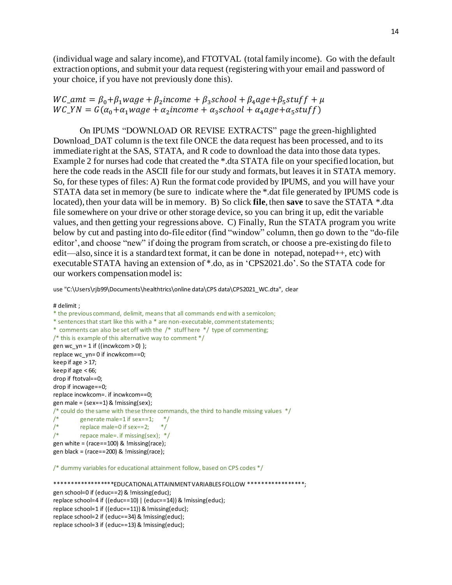(individual wage and salary income), and FTOTVAL (total family income). Go with the default extraction options, and submit your data request (registering with your email and password of your choice, if you have not previously done this).

 $WC\_amt = \beta_0 + \beta_1 wage + \beta_2 income + \beta_3 school + \beta_4 age + \beta_5 stufff + \mu$  $WC_YN = G(\alpha_0 + \alpha_1 wage + \alpha_2 income + \alpha_3 school + \alpha_4 age + \alpha_5 stuff)$ 

On IPUMS "DOWNLOAD OR REVISE EXTRACTS" page the green-highlighted Download\_DAT column is the text file ONCE the data request has been processed, and to its immediate right at the SAS, STATA, and R code to download the data into those data types. Example 2 for nurses had code that created the \*.dta STATA file on your specified location, but here the code reads in the ASCII file for our study and formats, but leaves it in STATA memory. So, for these types of files: A) Run the format code provided by IPUMS, and you will have your STATA data set in memory (be sure to indicate where the \*.dat file generated by IPUMS code is located), then your data will be in memory. B) So click **file**, then **save** to save the STATA \*.dta file somewhere on your drive or other storage device, so you can bring it up, edit the variable values, and then getting your regressions above. C) Finally, Run the STATA program you write below by cut and pasting into do-file editor (find "window" column, then go down to the "do-file editor', and choose "new" if doing the program from scratch, or choose a pre-existing do file to edit—also, since it is a standard text format, it can be done in notepad, notepad++, etc) with executable STATA having an extension of \*.do, as in 'CPS2021.do'. So the STATA code for our workers compensation model is:

use "C:\Users\rjb99\Documents\healthtrics\online data\CPS data\CPS2021\_WC.dta", clear

# delimit ; \* the previous command, delimit, means that all commands end with a semicolon; \* sentences that start like this with a \* are non-executable, comment statements; \* comments can also be set off with the /\* stuff here \*/ type of commenting; /\* this is example of this alternative way to comment \*/ gen wc\_yn = 1 if ((incwkcom > 0) ); replace wc\_yn= 0 if incwkcom==0; keep if age > 17; keep if age  $<$  66; drop if ftotval==0; drop if incwage==0; replace incwkcom=. if incwkcom==0; gen male =  $(sex==1)$  & !missing(sex); /\* could do the same with these three commands, the third to handle missing values \*/ /\* generate male=1 if sex==1;  $*/$ <br>/\* replace male=0 if sex==2;  $*/$ replace male=0 if sex==2; /\* repace male=. if missing(sex); \*/ gen white =  $rac = = 100$ ) & !missing(race); gen black = (race==200) & !missing(race);

/\* dummy variables for educational attainment follow, based on CPS codes \*/

\*\*\*\*\*\*\*\*\*\*\*\*\*\*\*\*\*\*EDUCATIONAL ATTAINMENT VARIABLES FOLLOW \*\*\*\*\*\*\*\*\*\*\*\*\*\*\*\*\*\*; gen school=0 if (educ==2) & !missing(educ); replace school=4 if ((educ==10) | (educ==14)) & !missing(educ); replace school=1 if ((educ==11)) & !missing(educ); replace school=2 if (educ==34) & !missing(educ); replace school=3 if (educ==13) & !missing(educ);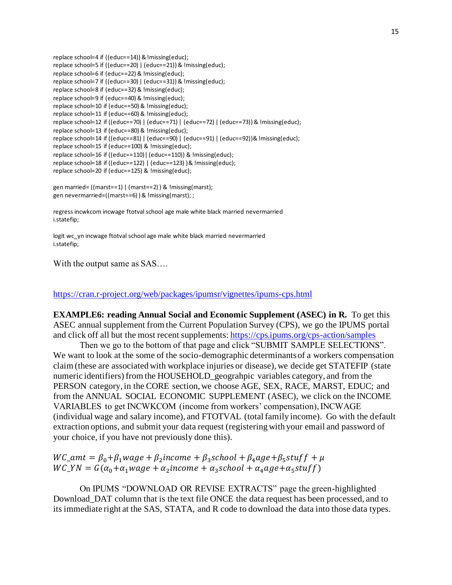replace school=4 if ((educ==14)) & !missing(educ); replace school=5 if ((educ==20) | (educ==21)) & !missing(educ); replace school=6 if (educ==22) & !missing(educ); replace school=7 if ((educ==30) | (educ==31)) & !missing(educ); replace school=8 if (educ==32) & !missing(educ); replace school=9 if (educ==40) & !missing(educ); replace school=10 if (educ==50) & !missing(educ); replace school=11 if (educ==60) & !missing(educ); replace school=12 if ((educ==70) | (educ==71) | (educ==72) | (educ==73)) & !missing(educ); replace school=13 if (educ==80) & !missing(educ); replace school=14 if ((educ==81) | (educ==90) | (educ==91) | (educ==92))& !missing(educ); replace school=15 if (educ==100) & !missing(educ); replace school=16 if ((educ==110)| (educ==110)) & !missing(educ); replace school=18 if ((educ==122) | (educ==123) )& !missing(educ); replace school=20 if (educ==125) & !missing(educ);

gen married= ((marst==1) | (marst==2) ) & !missing(marst); gen nevermarried=((marst==6) ) & !missing(marst); ;

regress incwkcom incwage ftotval school age male white black married nevermarried i.statefip;

logit wc\_yn incwage ftotval school age male white black married nevermarried i.statefip;

With the output same as SAS….

[https://cran.r-project.org/web/packages/ipumsr/vignettes/ipums-cps.html](about:blank)

**EXAMPLE6: reading Annual Social and Economic Supplement (ASEC) in R.** To get this ASEC annual supplement from the Current Population Survey (CPS), we go the IPUMS portal and click off all but the most recent supplements[: https://cps.ipums.org/cps-action/samples](about:blank)

Then we go to the bottom of that page and click "SUBMIT SAMPLE SELECTIONS". We want to look at the some of the socio-demographic determinants of a workers compensation claim (these are associated with workplace injuries or disease), we decide get STATEFIP (state numeric identifiers) from the HOUSEHOLD\_geograhpic variables category, and from the PERSON category, in the CORE section, we choose AGE, SEX, RACE, MARST, EDUC; and from the ANNUAL SOCIAL ECONOMIC SUPPLEMENT (ASEC), we click on the INCOME VARIABLES to get INCWKCOM (income from workers' compensation), INCWAGE (individual wage and salary income), and FTOTVAL (total family income). Go with the default extraction options, and submit your data request (registering with your email and password of your choice, if you have not previously done this).

 $WC\_amt = \beta_0 + \beta_1 wage + \beta_2 income + \beta_3 school + \beta_4 age + \beta_5 stufff + \mu$  $WC_YN = G(\alpha_0 + \alpha_1 wage + \alpha_2 income + \alpha_3 school + \alpha_4 age + \alpha_5 stuff)$ 

On IPUMS "DOWNLOAD OR REVISE EXTRACTS" page the green-highlighted Download\_DAT column that is the text file ONCE the data request has been processed, and to its immediate right at the SAS, STATA, and R code to download the data into those data types.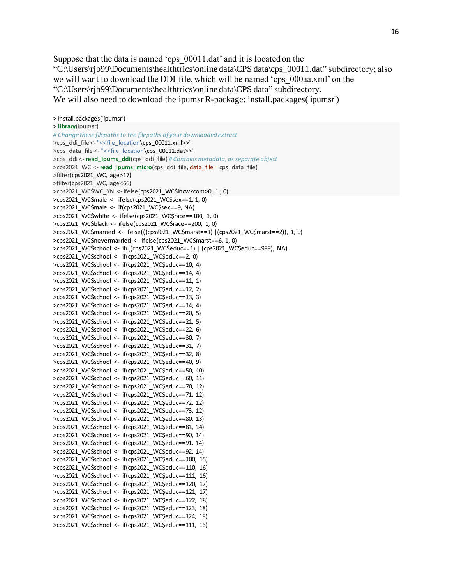Suppose that the data is named 'cps  $00011$ .dat' and it is located on the "C:\Users\rjb99\Documents\healthtrics\online data\CPS data\cps\_00011.dat" subdirectory; also we will want to download the DDI file, which will be named 'cps\_000aa.xml' on the "C:\Users\rjb99\Documents\healthtrics\online data\CPS data" subdirectory. We will also need to download the ipumsr R-package: install.packages('ipumsr')

```
> install.packages('ipumsr')
> library(ipumsr)
# Change these filepaths to the filepaths of your downloaded extract
>cps_ddi_file <- "<<file_location\cps_00011.xml>>"
>cps_data_file <- "<<file_location\cps_00011.dat>>"
>cps_ddi <-read_ipums_ddi(cps_ddi_file) # Contains metadata, as separate object
>cps2021_WC <- read_ipums_micro(cps_ddi_file, data_file = cps_data_file)
>filter(cps2021_WC, age>17)
>filter(cps2021_WC, age<66)
>cps2021_WC$WC_YN <- ifelse(cps2021_WC$incwkcom>0, 1 , 0)
>cps2021_WC$male <- ifelse(cps2021_WC$sex==1, 1, 0)
>cps2021_WC$male <- if(cps2021_WC$sex==9, NA)
>cps2021_WC$white <- ifelse(cps2021_WC$race==100, 1, 0) 
>cps2021_WC$black <- ifelse(cps2021_WC$race==200, 1, 0) 
>cps2021_WC$married <- ifelse(((cps2021_WC$marst==1) |(cps2021_WC$marst==2)), 1, 0) 
>cps2021_WC$nevermarried <- ifelse(cps2021_WC$marst==6, 1, 0)
>cps2021_WC$school <- if(((cps2021_WC$educ==1) | (cps2021_WC$educ==999), NA)
>cps2021_WC$school <- if(cps2021_WC$educ==2, 0) 
>cps2021_WC$school <- if(cps2021_WC$educ==10, 4) 
>cps2021_WC$school <- if(cps2021_WC$educ==14, 4)
>cps2021_WC$school <- if(cps2021_WC$educ==11, 1) 
>cps2021_WC$school <- if(cps2021_WC$educ==12, 2) 
>cps2021_WC$school <- if(cps2021_WC$educ==13, 3) 
>cps2021_WC$school <- if(cps2021_WC$educ==14, 4) 
>cps2021_WC$school <- if(cps2021_WC$educ==20, 5) 
>cps2021_WC$school <- if(cps2021_WC$educ==21, 5) 
>cps2021_WC$school <- if(cps2021_WC$educ==22, 6) 
>cps2021_WC$school <- if(cps2021_WC$educ==30, 7) 
>cps2021_WC$school <- if(cps2021_WC$educ==31, 7) 
>cps2021_WC$school <- if(cps2021_WC$educ==32, 8) 
>cps2021_WC$school <- if(cps2021_WC$educ==40, 9) 
>cps2021_WC$school <- if(cps2021_WC$educ==50, 10) 
>cps2021_WC$school <- if(cps2021_WC$educ==60, 11) 
>cps2021_WC$school <- if(cps2021_WC$educ==70, 12)
>cps2021_WC$school <- if(cps2021_WC$educ==71, 12)
>cps2021_WC$school <- if(cps2021_WC$educ==72, 12)
>cps2021_WC$school <- if(cps2021_WC$educ==73, 12)
>cps2021_WC$school <- if(cps2021_WC$educ==80, 13)
>cps2021_WC$school <- if(cps2021_WC$educ==81, 14) 
>cps2021_WC$school <- if(cps2021_WC$educ==90, 14)
>cps2021_WC$school <- if(cps2021_WC$educ==91, 14)
>cps2021_WC$school <- if(cps2021_WC$educ==92, 14)
>cps2021_WC$school <- if(cps2021_WC$educ==100, 15) 
>cps2021_WC$school <- if(cps2021_WC$educ==110, 16) 
>cps2021_WC$school <- if(cps2021_WC$educ==111, 16) 
>cps2021_WC$school <- if(cps2021_WC$educ==120, 17) 
>cps2021_WC$school <- if(cps2021_WC$educ==121, 17) 
>cps2021_WC$school <- if(cps2021_WC$educ==122, 18)
>cps2021_WC$school <- if(cps2021_WC$educ==123, 18) 
>cps2021_WC$school <- if(cps2021_WC$educ==124, 18) 
>cps2021_WC$school <- if(cps2021_WC$educ==111, 16)
```